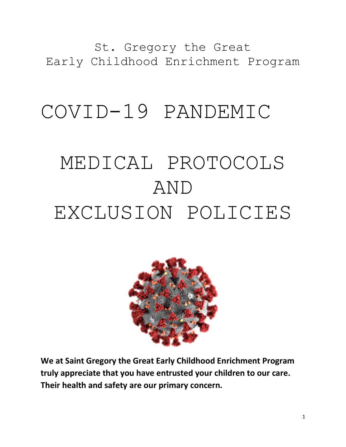St. Gregory the Great Early Childhood Enrichment Program

# COVID-19 PANDEMIC

# MEDICAL PROTOCOLS AND EXCLUSION POLICIES



**We at Saint Gregory the Great Early Childhood Enrichment Program truly appreciate that you have entrusted your children to our care. Their health and safety are our primary concern.**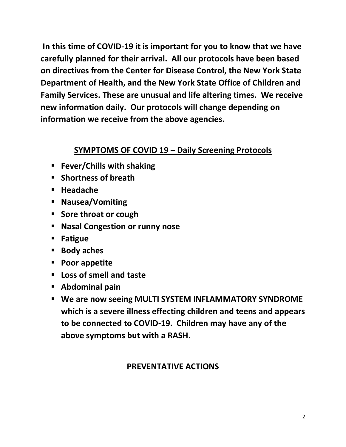**In this time of COVID-19 it is important for you to know that we have carefully planned for their arrival. All our protocols have been based on directives from the Center for Disease Control, the New York State Department of Health, and the New York State Office of Children and Family Services. These are unusual and life altering times. We receive new information daily. Our protocols will change depending on information we receive from the above agencies.**

#### **SYMPTOMS OF COVID 19 – Daily Screening Protocols**

- **Fever/Chills with shaking**
- **Shortness of breath**
- **Headache**
- **Nausea/Vomiting**
- **Sore throat or cough**
- **Nasal Congestion or runny nose**
- **Fatigue**
- **Body aches**
- **Poor appetite**
- **Loss of smell and taste**
- **Abdominal pain**
- **We are now seeing MULTI SYSTEM INFLAMMATORY SYNDROME which is a severe illness effecting children and teens and appears to be connected to COVID-19. Children may have any of the above symptoms but with a RASH.**

# **PREVENTATIVE ACTIONS**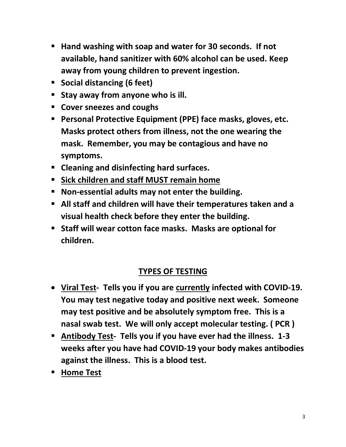- **Hand washing with soap and water for 30 seconds. If not available, hand sanitizer with 60% alcohol can be used. Keep away from young children to prevent ingestion.**
- **Social distancing (6 feet)**
- **Stay away from anyone who is ill.**
- **Cover sneezes and coughs**
- **Personal Protective Equipment (PPE) face masks, gloves, etc. Masks protect others from illness, not the one wearing the mask. Remember, you may be contagious and have no symptoms.**
- **Cleaning and disinfecting hard surfaces.**
- **Sick children and staff MUST remain home**
- **Non-essential adults may not enter the building.**
- **All staff and children will have their temperatures taken and a visual health check before they enter the building.**
- Staff will wear cotton face masks. Masks are optional for **children.**

# **TYPES OF TESTING**

- **Viral Test- Tells you if you are currently infected with COVID-19. You may test negative today and positive next week. Someone may test positive and be absolutely symptom free. This is a nasal swab test. We will only accept molecular testing. ( PCR )**
- **Antibody Test- Tells you if you have ever had the illness. 1-3 weeks after you have had COVID-19 your body makes antibodies against the illness. This is a blood test.**
- **Home Test**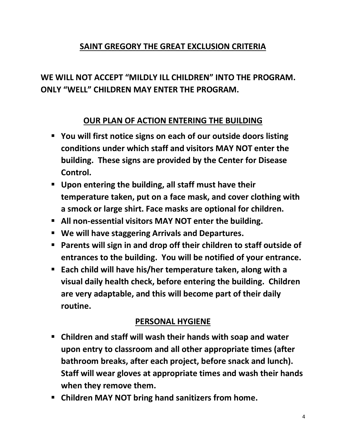#### **SAINT GREGORY THE GREAT EXCLUSION CRITERIA**

# **WE WILL NOT ACCEPT "MILDLY ILL CHILDREN" INTO THE PROGRAM. ONLY "WELL" CHILDREN MAY ENTER THE PROGRAM.**

#### **OUR PLAN OF ACTION ENTERING THE BUILDING**

- **You will first notice signs on each of our outside doors listing conditions under which staff and visitors MAY NOT enter the building. These signs are provided by the Center for Disease Control.**
- **Upon entering the building, all staff must have their temperature taken, put on a face mask, and cover clothing with a smock or large shirt. Face masks are optional for children.**
- **All non-essential visitors MAY NOT enter the building.**
- **We will have staggering Arrivals and Departures.**
- Parents will sign in and drop off their children to staff outside of **entrances to the building. You will be notified of your entrance.**
- **Each child will have his/her temperature taken, along with a visual daily health check, before entering the building. Children are very adaptable, and this will become part of their daily routine.**

#### **PERSONAL HYGIENE**

- **Children and staff will wash their hands with soap and water upon entry to classroom and all other appropriate times (after bathroom breaks, after each project, before snack and lunch). Staff will wear gloves at appropriate times and wash their hands when they remove them.**
- **Children MAY NOT bring hand sanitizers from home.**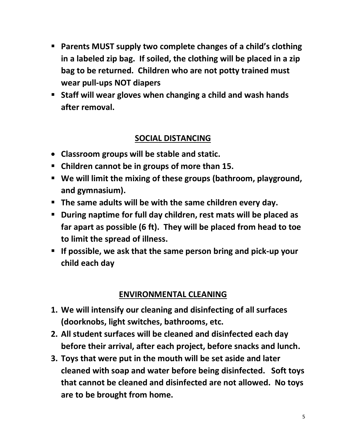- **Parents MUST supply two complete changes of a child's clothing in a labeled zip bag. If soiled, the clothing will be placed in a zip bag to be returned. Children who are not potty trained must wear pull-ups NOT diapers**
- **Staff will wear gloves when changing a child and wash hands after removal.**

#### **SOCIAL DISTANCING**

- **Classroom groups will be stable and static.**
- **Children cannot be in groups of more than 15.**
- **We will limit the mixing of these groups (bathroom, playground, and gymnasium).**
- **The same adults will be with the same children every day.**
- **During naptime for full day children, rest mats will be placed as far apart as possible (6 ft). They will be placed from head to toe to limit the spread of illness.**
- **If possible, we ask that the same person bring and pick-up your child each day**

# **ENVIRONMENTAL CLEANING**

- **1. We will intensify our cleaning and disinfecting of all surfaces (doorknobs, light switches, bathrooms, etc.**
- **2. All student surfaces will be cleaned and disinfected each day before their arrival, after each project, before snacks and lunch.**
- **3. Toys that were put in the mouth will be set aside and later cleaned with soap and water before being disinfected. Soft toys that cannot be cleaned and disinfected are not allowed. No toys are to be brought from home.**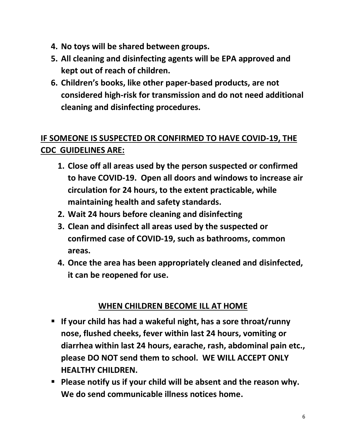- **4. No toys will be shared between groups.**
- **5. All cleaning and disinfecting agents will be EPA approved and kept out of reach of children.**
- **6. Children's books, like other paper-based products, are not considered high-risk for transmission and do not need additional cleaning and disinfecting procedures.**

# **IF SOMEONE IS SUSPECTED OR CONFIRMED TO HAVE COVID-19, THE CDC GUIDELINES ARE:**

- **1. Close off all areas used by the person suspected or confirmed to have COVID-19. Open all doors and windows to increase air circulation for 24 hours, to the extent practicable, while maintaining health and safety standards.**
- **2. Wait 24 hours before cleaning and disinfecting**
- **3. Clean and disinfect all areas used by the suspected or confirmed case of COVID-19, such as bathrooms, common areas.**
- **4. Once the area has been appropriately cleaned and disinfected, it can be reopened for use.**

# **WHEN CHILDREN BECOME ILL AT HOME**

- **If your child has had a wakeful night, has a sore throat/runny nose, flushed cheeks, fever within last 24 hours, vomiting or diarrhea within last 24 hours, earache, rash, abdominal pain etc., please DO NOT send them to school. WE WILL ACCEPT ONLY HEALTHY CHILDREN.**
- Please notify us if your child will be absent and the reason why. **We do send communicable illness notices home.**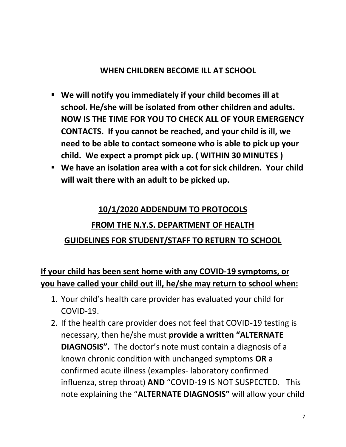#### **WHEN CHILDREN BECOME ILL AT SCHOOL**

- **We will notify you immediately if your child becomes ill at school. He/she will be isolated from other children and adults. NOW IS THE TIME FOR YOU TO CHECK ALL OF YOUR EMERGENCY CONTACTS. If you cannot be reached, and your child is ill, we need to be able to contact someone who is able to pick up your child. We expect a prompt pick up. ( WITHIN 30 MINUTES )**
- We have an isolation area with a cot for sick children. Your child **will wait there with an adult to be picked up.**

# **10/1/2020 ADDENDUM TO PROTOCOLS FROM THE N.Y.S. DEPARTMENT OF HEALTH GUIDELINES FOR STUDENT/STAFF TO RETURN TO SCHOOL**

# **If your child has been sent home with any COVID-19 symptoms, or you have called your child out ill, he/she may return to school when:**

- 1. Your child's health care provider has evaluated your child for COVID-19.
- 2. If the health care provider does not feel that COVID-19 testing is necessary, then he/she must **provide a written "ALTERNATE DIAGNOSIS".** The doctor's note must contain a diagnosis of a known chronic condition with unchanged symptoms **OR** a confirmed acute illness (examples- laboratory confirmed influenza, strep throat) **AND** "COVID-19 IS NOT SUSPECTED. This note explaining the "**ALTERNATE DIAGNOSIS"** will allow your child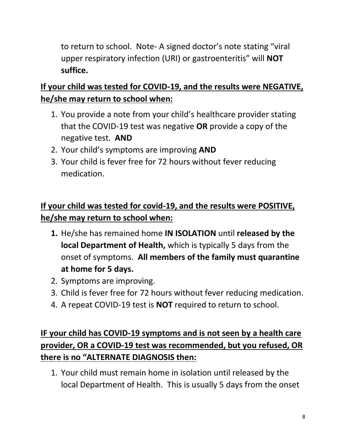to return to school. Note- A signed doctor's note stating "viral upper respiratory infection (URI) or gastroenteritis" will **NOT suffice.**

# **If your child was tested for COVID-19, and the results were NEGATIVE, he/she may return to school when:**

- 1. You provide a note from your child's healthcare provider stating that the COVID-19 test was negative **OR** provide a copy of the negative test. **AND**
- 2. Your child's symptoms are improving **AND**
- 3. Your child is fever free for 72 hours without fever reducing medication.

# **If your child was tested for covid-19, and the results were POSITIVE, he/she may return to school when:**

- **1.** He/she has remained home **IN ISOLATION** until **released by the local Department of Health,** which is typically 5 days from the onset of symptoms. **All members of the family must quarantine at home for 5 days.**
- 2. Symptoms are improving.
- 3. Child is fever free for 72 hours without fever reducing medication.
- 4. A repeat COVID-19 test is **NOT** required to return to school.

# **IF your child has COVID-19 symptoms and is not seen by a health care provider, OR a COVID-19 test was recommended, but you refused, OR there is no "ALTERNATE DIAGNOSIS then:**

1. Your child must remain home in isolation until released by the local Department of Health. This is usually 5 days from the onset